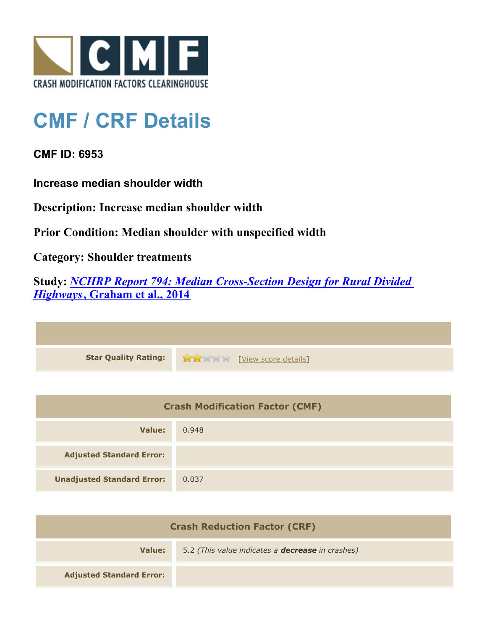

## **CMF / CRF Details**

**CMF ID: 6953**

**Increase median shoulder width**

**Description: Increase median shoulder width**

**Prior Condition: Median shoulder with unspecified width**

**Category: Shoulder treatments**

**Study:** *[NCHRP Report 794: Median Cross-Section Design for Rural Divided](http://www.cmfclearinghouse.org/study_detail.cfm?stid=420) [Highways](http://www.cmfclearinghouse.org/study_detail.cfm?stid=420)***[, Graham et al., 2014](http://www.cmfclearinghouse.org/study_detail.cfm?stid=420)**

| Star Quality Rating: 1999 [View score details] |
|------------------------------------------------|

| <b>Crash Modification Factor (CMF)</b> |       |
|----------------------------------------|-------|
| Value:                                 | 0.948 |
| <b>Adjusted Standard Error:</b>        |       |
| <b>Unadjusted Standard Error:</b>      | 0.037 |

| <b>Crash Reduction Factor (CRF)</b> |                                                         |
|-------------------------------------|---------------------------------------------------------|
| Value:                              | 5.2 (This value indicates a <b>decrease</b> in crashes) |
| <b>Adjusted Standard Error:</b>     |                                                         |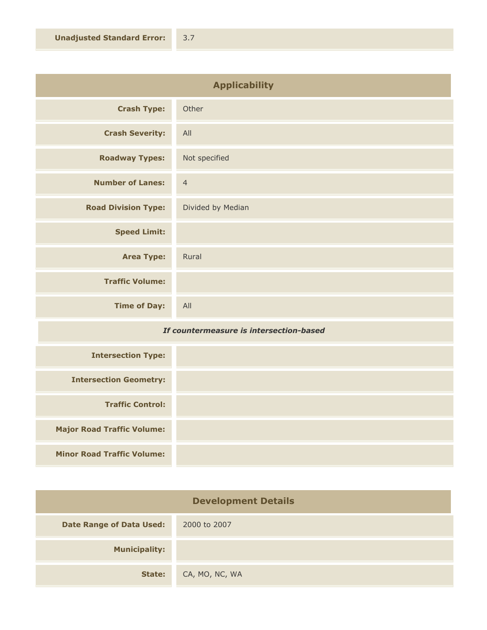| <b>Applicability</b>       |                   |
|----------------------------|-------------------|
| <b>Crash Type:</b>         | Other             |
| <b>Crash Severity:</b>     | All               |
| <b>Roadway Types:</b>      | Not specified     |
| <b>Number of Lanes:</b>    | $\overline{4}$    |
| <b>Road Division Type:</b> | Divided by Median |
| <b>Speed Limit:</b>        |                   |
| <b>Area Type:</b>          | Rural             |
| <b>Traffic Volume:</b>     |                   |
| <b>Time of Day:</b>        | All               |

## *If countermeasure is intersection-based*

| <b>Intersection Type:</b>         |  |
|-----------------------------------|--|
| <b>Intersection Geometry:</b>     |  |
| <b>Traffic Control:</b>           |  |
| <b>Major Road Traffic Volume:</b> |  |
| <b>Minor Road Traffic Volume:</b> |  |

| <b>Development Details</b>      |                |
|---------------------------------|----------------|
| <b>Date Range of Data Used:</b> | 2000 to 2007   |
| <b>Municipality:</b>            |                |
| State:                          | CA, MO, NC, WA |